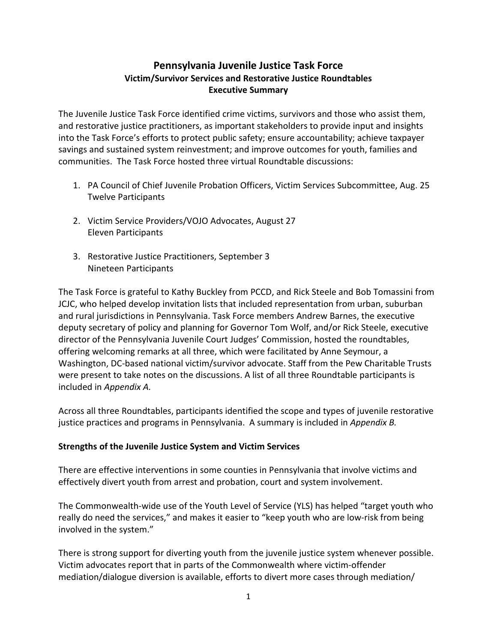# **Pennsylvania Juvenile Justice Task Force Victim/Survivor Services and Restorative Justice Roundtables Executive Summary**

The Juvenile Justice Task Force identified crime victims, survivors and those who assist them, and restorative justice practitioners, as important stakeholders to provide input and insights into the Task Force's efforts to protect public safety; ensure accountability; achieve taxpayer savings and sustained system reinvestment; and improve outcomes for youth, families and communities. The Task Force hosted three virtual Roundtable discussions:

- 1. PA Council of Chief Juvenile Probation Officers, Victim Services Subcommittee, Aug. 25 Twelve Participants
- 2. Victim Service Providers/VOJO Advocates, August 27 Eleven Participants
- 3. Restorative Justice Practitioners, September 3 Nineteen Participants

The Task Force is grateful to Kathy Buckley from PCCD, and Rick Steele and Bob Tomassini from JCJC, who helped develop invitation lists that included representation from urban, suburban and rural jurisdictions in Pennsylvania. Task Force members Andrew Barnes, the executive deputy secretary of policy and planning for Governor Tom Wolf, and/or Rick Steele, executive director of the Pennsylvania Juvenile Court Judges' Commission, hosted the roundtables, offering welcoming remarks at all three, which were facilitated by Anne Seymour, a Washington, DC-based national victim/survivor advocate. Staff from the Pew Charitable Trusts were present to take notes on the discussions. A list of all three Roundtable participants is included in *Appendix A.*

Across all three Roundtables, participants identified the scope and types of juvenile restorative justice practices and programs in Pennsylvania. A summary is included in *Appendix B.*

### **Strengths of the Juvenile Justice System and Victim Services**

There are effective interventions in some counties in Pennsylvania that involve victims and effectively divert youth from arrest and probation, court and system involvement.

The Commonwealth-wide use of the Youth Level of Service (YLS) has helped "target youth who really do need the services," and makes it easier to "keep youth who are low-risk from being involved in the system."

There is strong support for diverting youth from the juvenile justice system whenever possible. Victim advocates report that in parts of the Commonwealth where victim-offender mediation/dialogue diversion is available, efforts to divert more cases through mediation/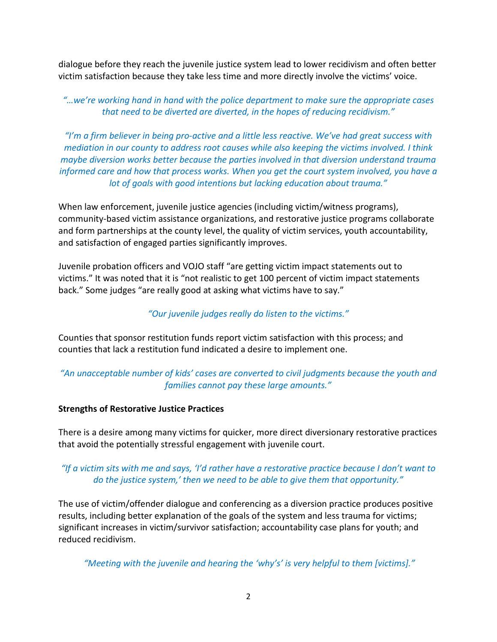dialogue before they reach the juvenile justice system lead to lower recidivism and often better victim satisfaction because they take less time and more directly involve the victims' voice.

## *"…we're working hand in hand with the police department to make sure the appropriate cases that need to be diverted are diverted, in the hopes of reducing recidivism."*

*"I'm a firm believer in being pro-active and a little less reactive. We've had great success with mediation in our county to address root causes while also keeping the victims involved. I think maybe diversion works better because the parties involved in that diversion understand trauma informed care and how that process works. When you get the court system involved, you have a lot of goals with good intentions but lacking education about trauma."*

When law enforcement, juvenile justice agencies (including victim/witness programs), community-based victim assistance organizations, and restorative justice programs collaborate and form partnerships at the county level, the quality of victim services, youth accountability, and satisfaction of engaged parties significantly improves.

Juvenile probation officers and VOJO staff "are getting victim impact statements out to victims." It was noted that it is "not realistic to get 100 percent of victim impact statements back." Some judges "are really good at asking what victims have to say."

# *"Our juvenile judges really do listen to the victims."*

Counties that sponsor restitution funds report victim satisfaction with this process; and counties that lack a restitution fund indicated a desire to implement one.

# *"An unacceptable number of kids' cases are converted to civil judgments because the youth and families cannot pay these large amounts."*

### **Strengths of Restorative Justice Practices**

There is a desire among many victims for quicker, more direct diversionary restorative practices that avoid the potentially stressful engagement with juvenile court.

## *"If a victim sits with me and says, 'I'd rather have a restorative practice because I don't want to do the justice system,' then we need to be able to give them that opportunity."*

The use of victim/offender dialogue and conferencing as a diversion practice produces positive results, including better explanation of the goals of the system and less trauma for victims; significant increases in victim/survivor satisfaction; accountability case plans for youth; and reduced recidivism.

*"Meeting with the juvenile and hearing the 'why's' is very helpful to them [victims]."*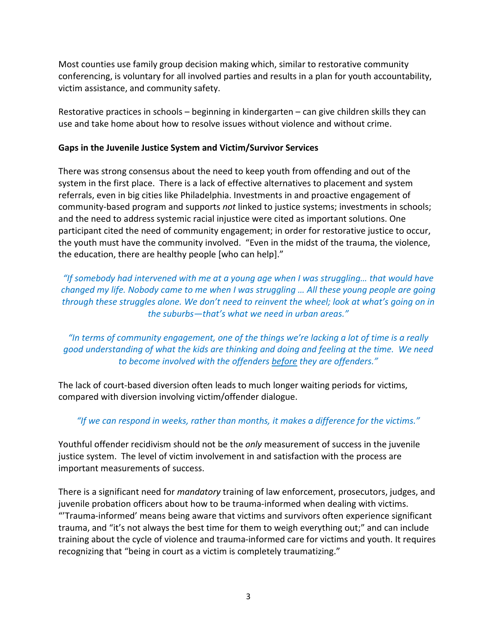Most counties use family group decision making which, similar to restorative community conferencing, is voluntary for all involved parties and results in a plan for youth accountability, victim assistance, and community safety.

Restorative practices in schools – beginning in kindergarten – can give children skills they can use and take home about how to resolve issues without violence and without crime.

#### **Gaps in the Juvenile Justice System and Victim/Survivor Services**

There was strong consensus about the need to keep youth from offending and out of the system in the first place. There is a lack of effective alternatives to placement and system referrals, even in big cities like Philadelphia. Investments in and proactive engagement of community-based program and supports *not* linked to justice systems; investments in schools; and the need to address systemic racial injustice were cited as important solutions. One participant cited the need of community engagement; in order for restorative justice to occur, the youth must have the community involved. "Even in the midst of the trauma, the violence, the education, there are healthy people [who can help]."

*"If somebody had intervened with me at a young age when I was struggling… that would have changed my life. Nobody came to me when I was struggling … All these young people are going through these struggles alone. We don't need to reinvent the wheel; look at what's going on in the suburbs—that's what we need in urban areas."*

*"In terms of community engagement, one of the things we're lacking a lot of time is a really good understanding of what the kids are thinking and doing and feeling at the time. We need to become involved with the offenders before they are offenders."*

The lack of court-based diversion often leads to much longer waiting periods for victims, compared with diversion involving victim/offender dialogue.

### *"If we can respond in weeks, rather than months, it makes a difference for the victims."*

Youthful offender recidivism should not be the *only* measurement of success in the juvenile justice system. The level of victim involvement in and satisfaction with the process are important measurements of success.

There is a significant need for *mandatory* training of law enforcement, prosecutors, judges, and juvenile probation officers about how to be trauma-informed when dealing with victims. "'Trauma-informed' means being aware that victims and survivors often experience significant trauma, and "it's not always the best time for them to weigh everything out;" and can include training about the cycle of violence and trauma-informed care for victims and youth. It requires recognizing that "being in court as a victim is completely traumatizing."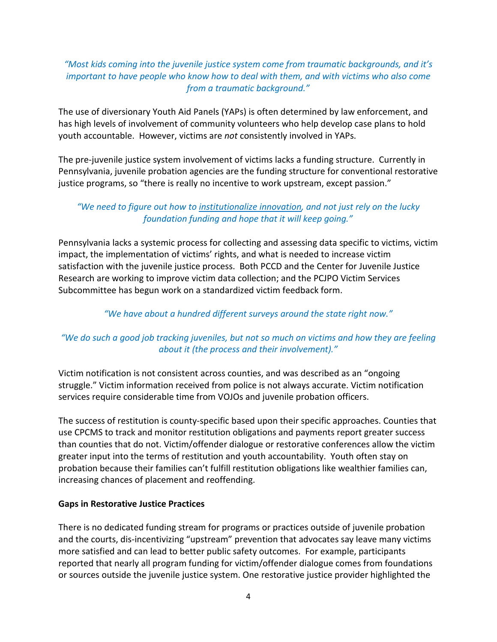### *"Most kids coming into the juvenile justice system come from traumatic backgrounds, and it's important to have people who know how to deal with them, and with victims who also come from a traumatic background."*

The use of diversionary Youth Aid Panels (YAPs) is often determined by law enforcement, and has high levels of involvement of community volunteers who help develop case plans to hold youth accountable. However, victims are *not* consistently involved in YAPs.

The pre-juvenile justice system involvement of victims lacks a funding structure. Currently in Pennsylvania, juvenile probation agencies are the funding structure for conventional restorative justice programs, so "there is really no incentive to work upstream, except passion."

### *"We need to figure out how to institutionalize innovation, and not just rely on the lucky foundation funding and hope that it will keep going."*

Pennsylvania lacks a systemic process for collecting and assessing data specific to victims, victim impact, the implementation of victims' rights, and what is needed to increase victim satisfaction with the juvenile justice process. Both PCCD and the Center for Juvenile Justice Research are working to improve victim data collection; and the PCJPO Victim Services Subcommittee has begun work on a standardized victim feedback form.

### *"We have about a hundred different surveys around the state right now."*

# *"We do such a good job tracking juveniles, but not so much on victims and how they are feeling about it (the process and their involvement)."*

Victim notification is not consistent across counties, and was described as an "ongoing struggle." Victim information received from police is not always accurate. Victim notification services require considerable time from VOJOs and juvenile probation officers.

The success of restitution is county-specific based upon their specific approaches. Counties that use CPCMS to track and monitor restitution obligations and payments report greater success than counties that do not. Victim/offender dialogue or restorative conferences allow the victim greater input into the terms of restitution and youth accountability. Youth often stay on probation because their families can't fulfill restitution obligations like wealthier families can, increasing chances of placement and reoffending.

### **Gaps in Restorative Justice Practices**

There is no dedicated funding stream for programs or practices outside of juvenile probation and the courts, dis-incentivizing "upstream" prevention that advocates say leave many victims more satisfied and can lead to better public safety outcomes. For example, participants reported that nearly all program funding for victim/offender dialogue comes from foundations or sources outside the juvenile justice system. One restorative justice provider highlighted the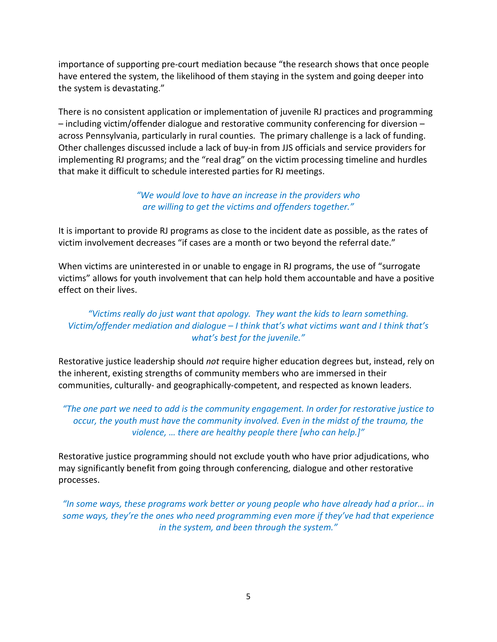importance of supporting pre-court mediation because "the research shows that once people have entered the system, the likelihood of them staying in the system and going deeper into the system is devastating."

There is no consistent application or implementation of juvenile RJ practices and programming – including victim/offender dialogue and restorative community conferencing for diversion – across Pennsylvania, particularly in rural counties. The primary challenge is a lack of funding. Other challenges discussed include a lack of buy-in from JJS officials and service providers for implementing RJ programs; and the "real drag" on the victim processing timeline and hurdles that make it difficult to schedule interested parties for RJ meetings.

> *"We would love to have an increase in the providers who are willing to get the victims and offenders together."*

It is important to provide RJ programs as close to the incident date as possible, as the rates of victim involvement decreases "if cases are a month or two beyond the referral date."

When victims are uninterested in or unable to engage in RJ programs, the use of "surrogate victims" allows for youth involvement that can help hold them accountable and have a positive effect on their lives.

## *"Victims really do just want that apology. They want the kids to learn something. Victim/offender mediation and dialogue – I think that's what victims want and I think that's what's best for the juvenile."*

Restorative justice leadership should *not* require higher education degrees but, instead, rely on the inherent, existing strengths of community members who are immersed in their communities, culturally- and geographically-competent, and respected as known leaders.

*"The one part we need to add is the community engagement. In order for restorative justice to occur, the youth must have the community involved. Even in the midst of the trauma, the violence, … there are healthy people there [who can help.]"*

Restorative justice programming should not exclude youth who have prior adjudications, who may significantly benefit from going through conferencing, dialogue and other restorative processes.

*"In some ways, these programs work better or young people who have already had a prior… in some ways, they're the ones who need programming even more if they've had that experience in the system, and been through the system."*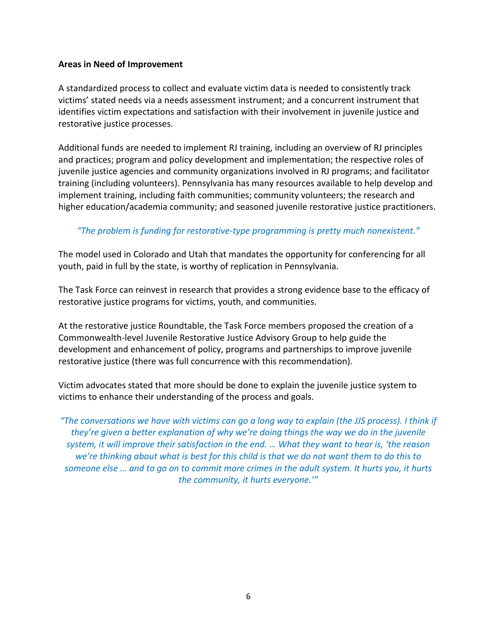#### **Areas in Need of Improvement**

A standardized process to collect and evaluate victim data is needed to consistently track victims' stated needs via a needs assessment instrument; and a concurrent instrument that identifies victim expectations and satisfaction with their involvement in juvenile justice and restorative justice processes.

Additional funds are needed to implement RJ training, including an overview of RJ principles and practices; program and policy development and implementation; the respective roles of juvenile justice agencies and community organizations involved in RJ programs; and facilitator training (including volunteers). Pennsylvania has many resources available to help develop and implement training, including faith communities; community volunteers; the research and higher education/academia community; and seasoned juvenile restorative justice practitioners.

### *"The problem is funding for restorative-type programming is pretty much nonexistent."*

The model used in Colorado and Utah that mandates the opportunity for conferencing for all youth, paid in full by the state, is worthy of replication in Pennsylvania.

The Task Force can reinvest in research that provides a strong evidence base to the efficacy of restorative justice programs for victims, youth, and communities.

At the restorative justice Roundtable, the Task Force members proposed the creation of a Commonwealth-level Juvenile Restorative Justice Advisory Group to help guide the development and enhancement of policy, programs and partnerships to improve juvenile restorative justice (there was full concurrence with this recommendation).

Victim advocates stated that more should be done to explain the juvenile justice system to victims to enhance their understanding of the process and goals.

*"The conversations we have with victims can go a long way to explain (the JJS process). I think if they're given a better explanation of why we're doing things the way we do in the juvenile system, it will improve their satisfaction in the end. … What they want to hear is, 'the reason we're thinking about what is best for this child is that we do not want them to do this to someone else … and to go on to commit more crimes in the adult system. It hurts you, it hurts the community, it hurts everyone.'"*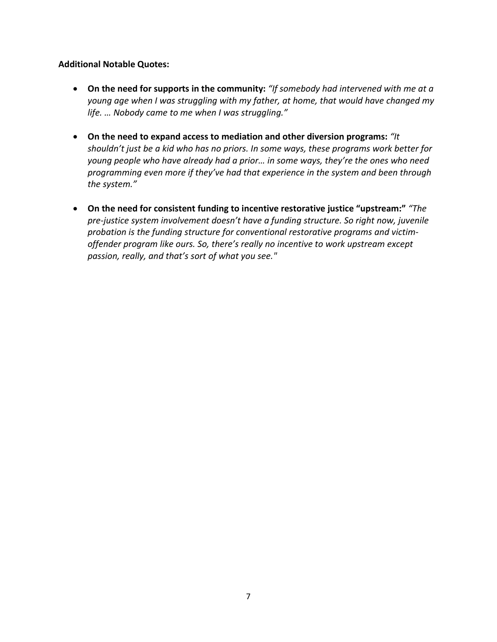#### **Additional Notable Quotes:**

- **On the need for supports in the community:** *"If somebody had intervened with me at a young age when I was struggling with my father, at home, that would have changed my life. … Nobody came to me when I was struggling."*
- **On the need to expand access to mediation and other diversion programs:** *"It shouldn't just be a kid who has no priors. In some ways, these programs work better for young people who have already had a prior… in some ways, they're the ones who need programming even more if they've had that experience in the system and been through the system."*
- **On the need for consistent funding to incentive restorative justice "upstream:"** *"The pre-justice system involvement doesn't have a funding structure. So right now, juvenile probation is the funding structure for conventional restorative programs and victimoffender program like ours. So, there's really no incentive to work upstream except passion, really, and that's sort of what you see."*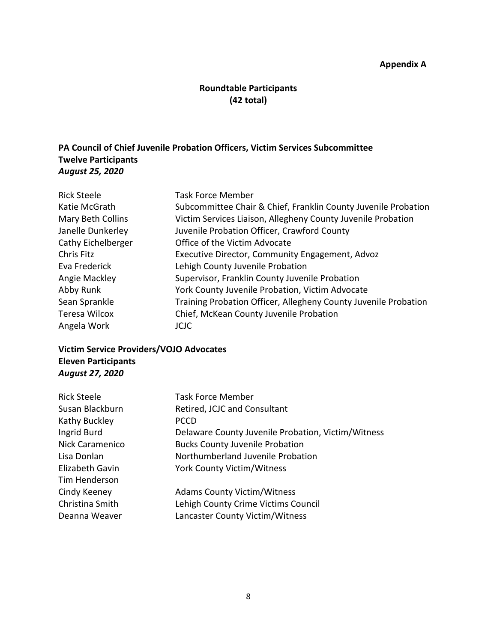#### **Appendix A**

# **Roundtable Participants (42 total)**

## **PA Council of Chief Juvenile Probation Officers, Victim Services Subcommittee Twelve Participants** *August 25, 2020*

| <b>Rick Steele</b> | <b>Task Force Member</b>                                        |
|--------------------|-----------------------------------------------------------------|
| Katie McGrath      | Subcommittee Chair & Chief, Franklin County Juvenile Probation  |
| Mary Beth Collins  | Victim Services Liaison, Allegheny County Juvenile Probation    |
| Janelle Dunkerley  | Juvenile Probation Officer, Crawford County                     |
| Cathy Eichelberger | Office of the Victim Advocate                                   |
| Chris Fitz         | Executive Director, Community Engagement, Advoz                 |
| Eva Frederick      | Lehigh County Juvenile Probation                                |
| Angie Mackley      | Supervisor, Franklin County Juvenile Probation                  |
| Abby Runk          | York County Juvenile Probation, Victim Advocate                 |
| Sean Sprankle      | Training Probation Officer, Allegheny County Juvenile Probation |
| Teresa Wilcox      | Chief, McKean County Juvenile Probation                         |
| Angela Work        | JCJC.                                                           |

## **Victim Service Providers/VOJO Advocates Eleven Participants** *August 27, 2020*

| <b>Task Force Member</b>                           |
|----------------------------------------------------|
| Retired, JCJC and Consultant                       |
| <b>PCCD</b>                                        |
| Delaware County Juvenile Probation, Victim/Witness |
| <b>Bucks County Juvenile Probation</b>             |
| Northumberland Juvenile Probation                  |
| <b>York County Victim/Witness</b>                  |
|                                                    |
| <b>Adams County Victim/Witness</b>                 |
| Lehigh County Crime Victims Council                |
| Lancaster County Victim/Witness                    |
|                                                    |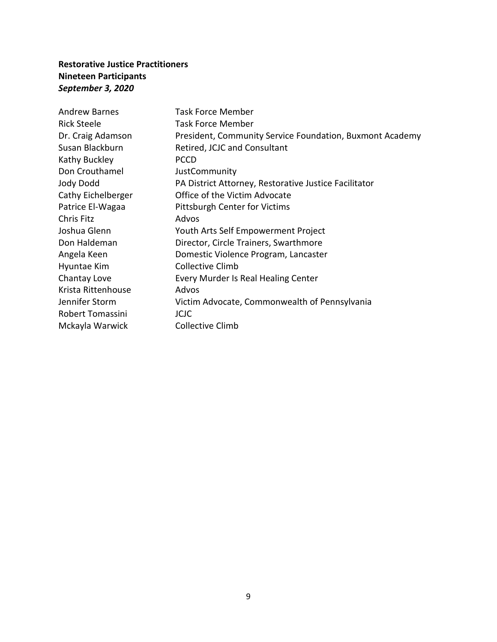# **Restorative Justice Practitioners Nineteen Participants** *September 3, 2020*

| <b>Andrew Barnes</b> | <b>Task Force Member</b>                                 |
|----------------------|----------------------------------------------------------|
| <b>Rick Steele</b>   | Task Force Member                                        |
| Dr. Craig Adamson    | President, Community Service Foundation, Buxmont Academy |
| Susan Blackburn      | Retired, JCJC and Consultant                             |
| Kathy Buckley        | <b>PCCD</b>                                              |
| Don Crouthamel       | JustCommunity                                            |
| Jody Dodd            | PA District Attorney, Restorative Justice Facilitator    |
| Cathy Eichelberger   | Office of the Victim Advocate                            |
| Patrice El-Wagaa     | Pittsburgh Center for Victims                            |
| <b>Chris Fitz</b>    | Advos                                                    |
| Joshua Glenn         | Youth Arts Self Empowerment Project                      |
| Don Haldeman         | Director, Circle Trainers, Swarthmore                    |
| Angela Keen          | Domestic Violence Program, Lancaster                     |
| Hyuntae Kim          | Collective Climb                                         |
| Chantay Love         | Every Murder Is Real Healing Center                      |
| Krista Rittenhouse   | Advos                                                    |
| Jennifer Storm       | Victim Advocate, Commonwealth of Pennsylvania            |
| Robert Tomassini     | <b>JCJC</b>                                              |
| Mckayla Warwick      | <b>Collective Climb</b>                                  |
|                      |                                                          |